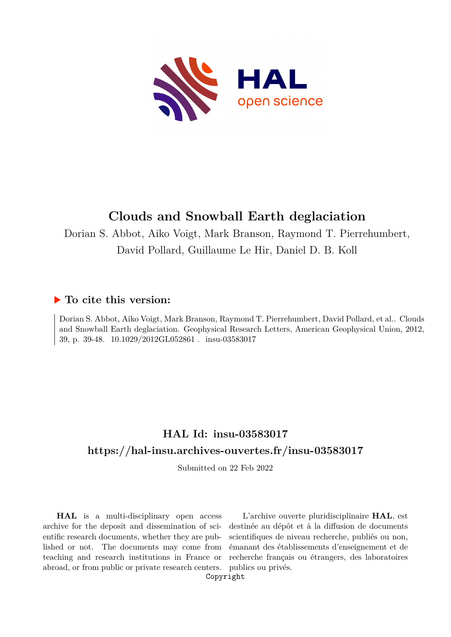

# **Clouds and Snowball Earth deglaciation**

Dorian S. Abbot, Aiko Voigt, Mark Branson, Raymond T. Pierrehumbert, David Pollard, Guillaume Le Hir, Daniel D. B. Koll

### **To cite this version:**

Dorian S. Abbot, Aiko Voigt, Mark Branson, Raymond T. Pierrehumbert, David Pollard, et al.. Clouds and Snowball Earth deglaciation. Geophysical Research Letters, American Geophysical Union, 2012, 39, p. 39-48.  $10.1029/2012 \times 1052861$ . insu-03583017

## **HAL Id: insu-03583017 <https://hal-insu.archives-ouvertes.fr/insu-03583017>**

Submitted on 22 Feb 2022

**HAL** is a multi-disciplinary open access archive for the deposit and dissemination of scientific research documents, whether they are published or not. The documents may come from teaching and research institutions in France or abroad, or from public or private research centers.

L'archive ouverte pluridisciplinaire **HAL**, est destinée au dépôt et à la diffusion de documents scientifiques de niveau recherche, publiés ou non, émanant des établissements d'enseignement et de recherche français ou étrangers, des laboratoires publics ou privés.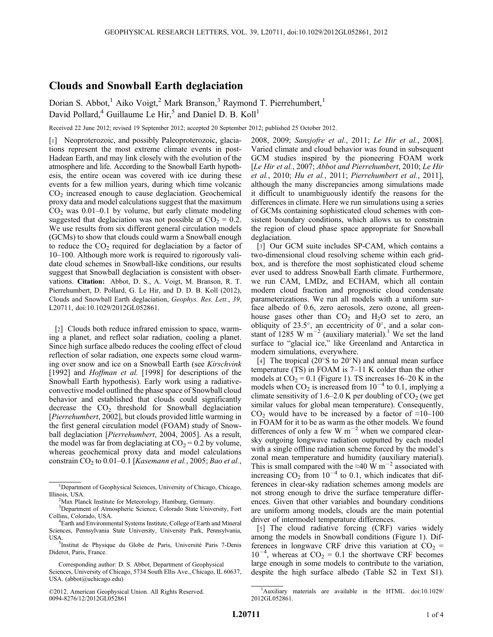#### Clouds and Snowball Earth deglaciation

Dorian S. Abbot,<sup>1</sup> Aiko Voigt,<sup>2</sup> Mark Branson,<sup>3</sup> Raymond T. Pierrehumbert,<sup>1</sup> David Pollard,<sup>4</sup> Guillaume Le Hir,<sup>5</sup> and Daniel D. B. Koll<sup>1</sup>

Received 22 June 2012; revised 19 September 2012; accepted 20 September 2012; published 25 October 2012.

[1] Neoproterozoic, and possibly Paleoproterozoic, glaciations represent the most extreme climate events in post-Hadean Earth, and may link closely with the evolution of the atmosphere and life. According to the Snowball Earth hypothesis, the entire ocean was covered with ice during these events for a few million years, during which time volcanic  $CO<sub>2</sub>$  increased enough to cause deglaciation. Geochemical proxy data and model calculations suggest that the maximum  $CO<sub>2</sub>$  was 0.01–0.1 by volume, but early climate modeling suggested that deglaciation was not possible at  $CO<sub>2</sub> = 0.2$ . We use results from six different general circulation models (GCMs) to show that clouds could warm a Snowball enough to reduce the  $CO<sub>2</sub>$  required for deglaciation by a factor of 10–100. Although more work is required to rigorously validate cloud schemes in Snowball-like conditions, our results suggest that Snowball deglaciation is consistent with observations. Citation: Abbot, D. S., A. Voigt, M. Branson, R. T. Pierrehumbert, D. Pollard, G. Le Hir, and D. D. B. Koll (2012), Clouds and Snowball Earth deglaciation, Geophys. Res. Lett., 39, L20711, doi:10.1029/2012GL052861.

[2] Clouds both reduce infrared emission to space, warming a planet, and reflect solar radiation, cooling a planet. Since high surface albedo reduces the cooling effect of cloud reflection of solar radiation, one expects some cloud warming over snow and ice on a Snowball Earth (see Kirschvink [1992] and *Hoffman et al.* [1998] for descriptions of the Snowball Earth hypothesis). Early work using a radiativeconvective model outlined the phase space of Snowball cloud behavior and established that clouds could significantly decrease the  $CO<sub>2</sub>$  threshold for Snowball deglaciation [Pierrehumbert, 2002], but clouds provided little warming in the first general circulation model (FOAM) study of Snowball deglaciation [*Pierrehumbert*, 2004, 2005]. As a result, the model was far from deglaciating at  $CO<sub>2</sub> = 0.2$  by volume, whereas geochemical proxy data and model calculations constrain  $CO<sub>2</sub>$  to 0.01–0.1 [Kasemann et al., 2005; Bao et al.,

©2012. American Geophysical Union. All Rights Reserved. 0094-8276/12/2012GL052861

2008, 2009; Sansjofre et al., 2011; Le Hir et al., 2008]. Varied climate and cloud behavior was found in subsequent GCM studies inspired by the pioneering FOAM work [Le Hir et al., 2007; Abbot and Pierrehumbert, 2010; Le Hir et al., 2010; Hu et al., 2011; Pierrehumbert et al., 2011], although the many discrepancies among simulations made it difficult to unambiguously identify the reasons for the differences in climate. Here we run simulations using a series of GCMs containing sophisticated cloud schemes with consistent boundary conditions, which allows us to constrain the region of cloud phase space appropriate for Snowball deglaciation.

[3] Our GCM suite includes SP-CAM, which contains a two-dimensional cloud resolving scheme within each gridbox, and is therefore the most sophisticated cloud scheme ever used to address Snowball Earth climate. Furthermore, we run CAM, LMDz, and ECHAM, which all contain modern cloud fraction and prognostic cloud condensate parameterizations. We run all models with a uniform surface albedo of 0.6, zero aerosols, zero ozone, all greenhouse gases other than  $CO<sub>2</sub>$  and  $H<sub>2</sub>O$  set to zero, an obliquity of 23.5°, an eccentricity of  $0^\circ$ , and a solar constant of 1285 W  $m^{-2}$  (auxiliary material).<sup>1</sup> We set the land surface to "glacial ice," like Greenland and Antarctica in modern simulations, everywhere.

[4] The tropical (20 $\degree$ S to 20 $\degree$ N) and annual mean surface temperature (TS) in FOAM is 7–11 K colder than the other models at  $CO_2 = 0.1$  (Figure 1). TS increases 16–20 K in the models when  $CO_2$  is increased from  $10^{-4}$  to 0.1, implying a climate sensitivity of 1.6–2.0 K per doubling of  $CO<sub>2</sub>$  (we get similar values for global mean temperature). Consequently, CO<sub>2</sub> would have to be increased by a factor of  $\approx 10-100$ in FOAM for it to be as warm as the other models. We found differences of only a few W  $m^{-2}$  when we compared clearsky outgoing longwave radiation outputted by each model with a single offline radiation scheme forced by the model's zonal mean temperature and humidity (auxiliary material). This is small compared with the ≈40 W m<sup>-2</sup> associated with increasing  $CO_2$  from  $10^{-4}$  to 0.1, which indicates that differences in clear-sky radiation schemes among models are not strong enough to drive the surface temperature differences. Given that other variables and boundary conditions are uniform among models, clouds are the main potential driver of intermodel temperature differences.

[5] The cloud radiative forcing (CRF) varies widely among the models in Snowball conditions (Figure 1). Differences in longwave CRF drive this variation at  $CO_2$  =  $10^{-4}$ , whereas at CO<sub>2</sub> = 0.1 the shortwave CRF becomes large enough in some models to contribute to the variation, despite the high surface albedo (Table S2 in Text S1).

<sup>&</sup>lt;sup>1</sup>Department of Geophysical Sciences, University of Chicago, Chicago, Illinois, USA. <sup>2</sup>

<sup>&</sup>lt;sup>2</sup>Max Planck Institute for Meteorology, Hamburg, Germany.

<sup>&</sup>lt;sup>3</sup>Department of Atmospheric Science, Colorado State University, Fort Collins, Colorado, USA. <sup>4</sup>

<sup>&</sup>lt;sup>4</sup>Earth and Environmental Systems Institute, College of Earth and Mineral Sciences, Pennsylvania State University, University Park, Pennsylvania, USA.

<sup>&</sup>lt;sup>5</sup>Institut de Physique du Globe de Paris, Université Paris 7-Denis Diderot, Paris, France.

Corresponding author: D. S. Abbot, Department of Geophysical Sciences, University of Chicago, 5734 South Ellis Ave., Chicago, IL 60637, USA. (abbot@uchicago.edu)

<sup>&</sup>lt;sup>1</sup>Auxiliary materials are available in the HTML. doi:10.1029/ 2012GL052861.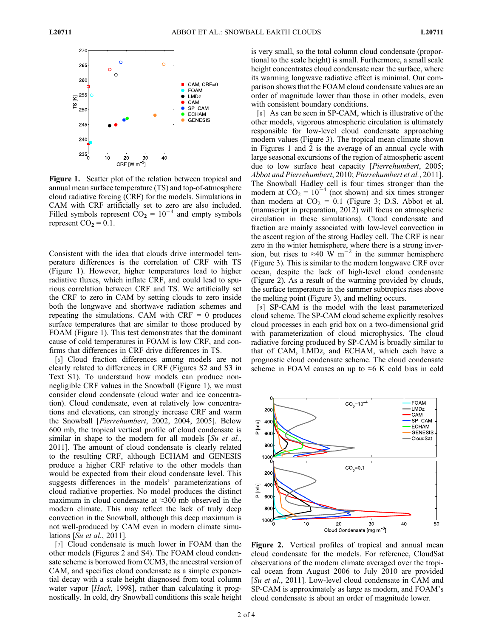

Figure 1. Scatter plot of the relation between tropical and annual mean surface temperature (TS) and top-of-atmosphere cloud radiative forcing (CRF) for the models. Simulations in CAM with CRF artificially set to zero are also included. Filled symbols represent  $CO<sub>2</sub> = 10<sup>-4</sup>$  and empty symbols represent  $CO<sub>2</sub> = 0.1$ .

Consistent with the idea that clouds drive intermodel temperature differences is the correlation of CRF with TS (Figure 1). However, higher temperatures lead to higher radiative fluxes, which inflate CRF, and could lead to spurious correlation between CRF and TS. We artificially set the CRF to zero in CAM by setting clouds to zero inside both the longwave and shortwave radiation schemes and repeating the simulations. CAM with  $CRF = 0$  produces surface temperatures that are similar to those produced by FOAM (Figure 1). This test demonstrates that the dominant cause of cold temperatures in FOAM is low CRF, and confirms that differences in CRF drive differences in TS.

[6] Cloud fraction differences among models are not clearly related to differences in CRF (Figures S2 and S3 in Text S1). To understand how models can produce nonnegligible CRF values in the Snowball (Figure 1), we must consider cloud condensate (cloud water and ice concentration). Cloud condensate, even at relatively low concentrations and elevations, can strongly increase CRF and warm the Snowball [Pierrehumbert, 2002, 2004, 2005]. Below 600 mb, the tropical vertical profile of cloud condensate is similar in shape to the modern for all models  $[Su \text{ et } al.,]$ 2011]. The amount of cloud condensate is clearly related to the resulting CRF, although ECHAM and GENESIS produce a higher CRF relative to the other models than would be expected from their cloud condensate level. This suggests differences in the models' parameterizations of cloud radiative properties. No model produces the distinct maximum in cloud condensate at ≈300 mb observed in the modern climate. This may reflect the lack of truly deep convection in the Snowball, although this deep maximum is not well-produced by CAM even in modern climate simulations [Su et al., 2011].

[7] Cloud condensate is much lower in FOAM than the other models (Figures 2 and S4). The FOAM cloud condensate scheme is borrowed from CCM3, the ancestral version of CAM, and specifies cloud condensate as a simple exponential decay with a scale height diagnosed from total column water vapor [Hack, 1998], rather than calculating it prognostically. In cold, dry Snowball conditions this scale height is very small, so the total column cloud condensate (proportional to the scale height) is small. Furthermore, a small scale height concentrates cloud condensate near the surface, where its warming longwave radiative effect is minimal. Our comparison shows that the FOAM cloud condensate values are an order of magnitude lower than those in other models, even with consistent boundary conditions.

[8] As can be seen in SP-CAM, which is illustrative of the other models, vigorous atmospheric circulation is ultimately responsible for low-level cloud condensate approaching modern values (Figure 3). The tropical mean climate shown in Figures 1 and 2 is the average of an annual cycle with large seasonal excursions of the region of atmospheric ascent due to low surface heat capacity [Pierrehumbert, 2005; Abbot and Pierrehumbert, 2010; Pierrehumbert et al., 2011]. The Snowball Hadley cell is four times stronger than the modern at  $CO_2 = 10^{-4}$  (not shown) and six times stronger than modern at  $CO<sub>2</sub> = 0.1$  (Figure 3; D.S. Abbot et al. (manuscript in preparation, 2012) will focus on atmospheric circulation in these simulations). Cloud condensate and fraction are mainly associated with low-level convection in the ascent region of the strong Hadley cell. The CRF is near zero in the winter hemisphere, where there is a strong inversion, but rises to ≈40 W m<sup>-2</sup> in the summer hemisphere (Figure 3). This is similar to the modern longwave CRF over ocean, despite the lack of high-level cloud condensate (Figure 2). As a result of the warming provided by clouds, the surface temperature in the summer subtropics rises above the melting point (Figure 3), and melting occurs.

[9] SP-CAM is the model with the least parameterized cloud scheme. The SP-CAM cloud scheme explicitly resolves cloud processes in each grid box on a two-dimensional grid with parameterization of cloud microphysics. The cloud radiative forcing produced by SP-CAM is broadly similar to that of CAM, LMDz, and ECHAM, which each have a prognostic cloud condensate scheme. The cloud condensate scheme in FOAM causes an up to  $\approx$ 6 K cold bias in cold



Figure 2. Vertical profiles of tropical and annual mean cloud condensate for the models. For reference, CloudSat observations of the modern climate averaged over the tropical ocean from August 2006 to July 2010 are provided [Su et al., 2011]. Low-level cloud condensate in CAM and SP-CAM is approximately as large as modern, and FOAM's cloud condensate is about an order of magnitude lower.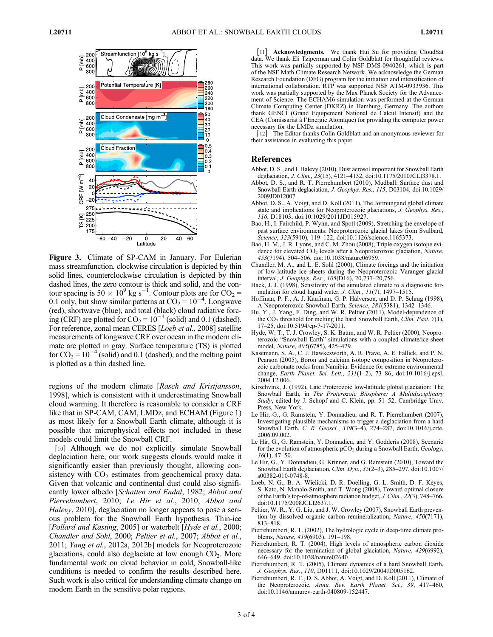

Figure 3. Climate of SP-CAM in January. For Eulerian mass streamfunction, clockwise circulation is depicted by thin solid lines, counterclockwise circulation is depicted by thin dashed lines, the zero contour is thick and solid, and the contour spacing is  $50 \times 10^9$  kg s<sup>-1</sup>. Contour plots are for CO<sub>2</sub> = 0.1 only, but show similar patterns at  $CO_2 = 10^{-4}$ . Longwave (red), shortwave (blue), and total (black) cloud radiative forcing (CRF) are plotted for  $CO_2 = 10^{-4}$  (solid) and 0.1 (dashed). For reference, zonal mean CERES [Loeb et al., 2008] satellite measurements of longwave CRF over ocean in the modern climate are plotted in gray. Surface temperature (TS) is plotted for  $CO_2 = 10^{-4}$  (solid) and 0.1 (dashed), and the melting point is plotted as a thin dashed line.

regions of the modern climate [Rasch and Kristjansson, 1998], which is consistent with it underestimating Snowball cloud warming. It therefore is reasonable to consider a CRF like that in SP-CAM, CAM, LMDz, and ECHAM (Figure 1) as most likely for a Snowball Earth climate, although it is possible that microphysical effects not included in these models could limit the Snowball CRF.

[10] Although we do not explicitly simulate Snowball deglaciation here, our work suggests clouds would make it significantly easier than previously thought, allowing consistency with  $CO<sub>2</sub>$  estimates from geochemical proxy data. Given that volcanic and continental dust could also significantly lower albedo [Schatten and Endal, 1982; Abbot and Pierrehumbert, 2010; Le Hir et al., 2010; Abbot and Halevy, 2010], deglaciation no longer appears to pose a serious problem for the Snowball Earth hypothesis. Thin-ice [Pollard and Kasting, 2005] or waterbelt [Hyde et al., 2000; Chandler and Sohl, 2000; Peltier et al., 2007; Abbot et al., 2011; Yang et al., 2012a, 2012b] models for Neoproterozoic glaciations, could also deglaciate at low enough  $CO<sub>2</sub>$ . More fundamental work on cloud behavior in cold, Snowball-like conditions is needed to confirm the results described here. Such work is also critical for understanding climate change on modern Earth in the sensitive polar regions.

[11] Acknowledgments. We thank Hui Su for providing CloudSat data. We thank Eli Tziperman and Colin Goldblatt for thoughtful reviews. This work was partially supported by NSF DMS-0940261, which is part of the NSF Math Climate Research Network. We acknowledge the German Research Foundation (DFG) program for the initiation and intensification of international collaboration. RTP was supported NSF ATM-0933936. This work was partially supported by the Max Planck Society for the Advancement of Science. The ECHAM6 simulation was performed at the German Climate Computing Center (DKRZ) in Hamburg, Germany. The authors thank GENCI (Grand Equipement National de Calcul Intensif) and the CEA (Comissariat à l'Energie Atomique) for providing the computer power necessary for the LMDz simulation.

[12] The Editor thanks Colin Goldblatt and an anonymous reviewer for their assistance in evaluating this paper.

#### References

- Abbot, D. S., and I. Halevy (2010), Dust aerosol important for Snowball Earth deglaciation, *J. Clim.*, 23(15), 4121–4132, doi:10.1175/2010JCLI3378.1.
- Abbot, D. S., and R. T. Pierrehumbert (2010), Mudball: Surface dust and Snowball Earth deglaciation, J. Geophys. Res., 115, D03104, doi:10.1029/ 2009JD012007.
- Abbot, D. S., A. Voigt, and D. Koll (2011), The Jormungand global climate state and implications for Neoproterozoic glaciations, J. Geophys. Res., 116, D18103, doi:10.1029/2011JD015927.
- Bao, H., I. Fairchild, P. Wynn, and Spotl (2009), Stretching the envelope of past surface environments: Neoproterozoic glacial lakes from Svalbard, Science, 323(5910), 119-122, doi:10.1126/science.1165373.
- Bao, H. M., J. R. Lyons, and C. M. Zhou (2008), Triple oxygen isotope evidence for elevated CO<sub>2</sub> levels after a Neoproterozoic glaciation, Nature, 453(7194), 504–506, doi:10.1038/nature06959.
- Chandler, M. A., and L. E. Sohl (2000), Climate forcings and the initiation of low-latitude ice sheets during the Neoproterozoic Varanger glacial interval, J. Geophys. Res., 105(D16), 20,737–20,756.
- Hack, J. J. (1998), Sensitivity of the simulated climate to a diagnostic formulation for cloud liquid water, J. Clim., 11(7), 1497–1515.
- Hoffman, P. F., A. J. Kaufman, G. P. Halverson, and D. P. Schrag (1998), A Neoproterozoic Snowball Earth, Science, 281(5381), 1342–1346.
- Hu, Y., J. Yang, F. Ding, and W. R. Peltier (2011), Model-dependence of the  $CO<sub>2</sub>$  threshold for melting the hard Snowball Earth, *Clim. Past*, 7(1), 17–25, doi:10.5194/cp-7-17-2011.
- Hyde, W. T., T. J. Crowley, S. K. Baum, and W. R. Peltier (2000), Neoproterozoic "Snowball Earth" simulations with a coupled climate/ice-sheet model, Nature, 405(6785), 425–429.
- Kasemann, S. A., C. J. Hawkesworth, A. R. Prave, A. E. Fallick, and P. N. Pearson (2005), Boron and calcium isotope composition in Neoproterozoic carbonate rocks from Namibia: Evidence for extreme environmental change, Earth Planet. Sci. Lett., 231(1–2), 73–86, doi:10.1016/j.epsl. 2004.12.006.
- Kirschvink, J. (1992), Late Proterozoic low-latitude global glaciation: The Snowball Earth, in The Proterozoic Biosphere: A Multidisciplinary Study, edited by J. Schopf and C. Klein, pp. 51-52, Cambridge Univ. Press, New York.
- Le Hir, G., G. Ramstein, Y. Donnadieu, and R. T. Pierrehumbert (2007), Investigating plausible mechanisms to trigger a deglaciation from a hard Snowball Earth, C. R. Geosci., 339(3–4), 274–287, doi:10.1016/j.crte. 2006.09.002.
- Le Hir, G., G. Ramstein, Y. Donnadieu, and Y. Godderis (2008), Scenario for the evolution of atmospheric  $pCO<sub>2</sub>$  during a Snowball Earth,  $Geology$ , 36(1), 47–50.
- Le Hir, G., Y. Donnadieu, G. Krinner, and G. Ramstein (2010), Toward the Snowball Earth deglaciation, Clim. Dyn., 35(2–3), 285–297, doi:10.1007/ s00382-010-0748-8.
- Loeb, N. G., B. A. Wielicki, D. R. Doelling, G. L. Smith, D. F. Keyes, S. Kato, N. Manalo-Smith, and T. Wong (2008), Toward optimal closure of the Earth's top-of-atmosphere radiation budget, J. Clim., 22(3), 748–766, doi:10.1175/2008JCLI2637.1.
- Peltier, W. R., Y. G. Liu, and J. W. Crowley (2007), Snowball Earth prevention by dissolved organic carbon remineralization, Nature, 450(7171), 813–818.
- Pierrehumbert, R. T. (2002), The hydrologic cycle in deep-time climate problems, Nature, 419(6903), 191–198.
- Pierrehumbert, R. T. (2004), High levels of atmospheric carbon dioxide necessary for the termination of global glaciation, Nature, 429(6992), 646–649, doi:10.1038/nature02640.
- Pierrehumbert, R. T. (2005), Climate dynamics of a hard Snowball Earth, J. Geophys. Res., 110, D01111, doi:10.1029/2004JD005162.
- Pierrehumbert, R. T., D. S. Abbot, A. Voigt, and D. Koll (2011), Climate of the Neoproterozoic, Annu. Rev. Earth Planet. Sci., 39, 417-460, doi:10.1146/annurev-earth-040809-152447.